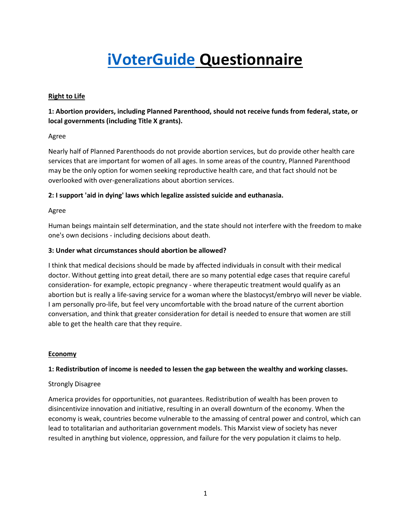# iVoterGuide Questionnaire

# Right to Life

# 1: Abortion providers, including Planned Parenthood, should not receive funds from federal, state, or local governments (including Title X grants).

# Agree

Nearly half of Planned Parenthoods do not provide abortion services, but do provide other health care services that are important for women of all ages. In some areas of the country, Planned Parenthood may be the only option for women seeking reproductive health care, and that fact should not be overlooked with over-generalizations about abortion services.

# 2: I support 'aid in dying' laws which legalize assisted suicide and euthanasia.

# Agree

Human beings maintain self determination, and the state should not interfere with the freedom to make one's own decisions - including decisions about death.

# 3: Under what circumstances should abortion be allowed?

I think that medical decisions should be made by affected individuals in consult with their medical doctor. Without getting into great detail, there are so many potential edge cases that require careful consideration- for example, ectopic pregnancy - where therapeutic treatment would qualify as an abortion but is really a life-saving service for a woman where the blastocyst/embryo will never be viable. I am personally pro-life, but feel very uncomfortable with the broad nature of the current abortion conversation, and think that greater consideration for detail is needed to ensure that women are still able to get the health care that they require.

## **Economy**

## 1: Redistribution of income is needed to lessen the gap between the wealthy and working classes.

## Strongly Disagree

America provides for opportunities, not guarantees. Redistribution of wealth has been proven to disincentivize innovation and initiative, resulting in an overall downturn of the economy. When the economy is weak, countries become vulnerable to the amassing of central power and control, which can lead to totalitarian and authoritarian government models. This Marxist view of society has never resulted in anything but violence, oppression, and failure for the very population it claims to help.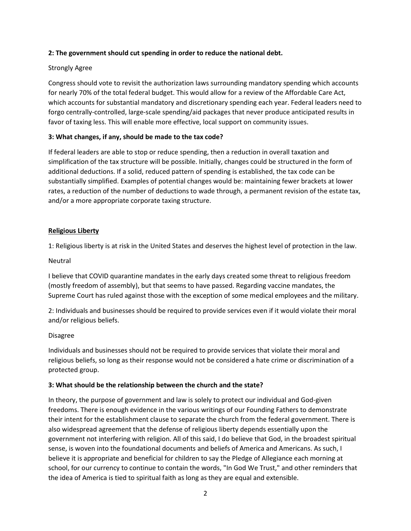## 2: The government should cut spending in order to reduce the national debt.

# Strongly Agree

Congress should vote to revisit the authorization laws surrounding mandatory spending which accounts for nearly 70% of the total federal budget. This would allow for a review of the Affordable Care Act, which accounts for substantial mandatory and discretionary spending each year. Federal leaders need to forgo centrally-controlled, large-scale spending/aid packages that never produce anticipated results in favor of taxing less. This will enable more effective, local support on community issues.

# 3: What changes, if any, should be made to the tax code?

If federal leaders are able to stop or reduce spending, then a reduction in overall taxation and simplification of the tax structure will be possible. Initially, changes could be structured in the form of additional deductions. If a solid, reduced pattern of spending is established, the tax code can be substantially simplified. Examples of potential changes would be: maintaining fewer brackets at lower rates, a reduction of the number of deductions to wade through, a permanent revision of the estate tax, and/or a more appropriate corporate taxing structure.

# Religious Liberty

1: Religious liberty is at risk in the United States and deserves the highest level of protection in the law.

# Neutral

I believe that COVID quarantine mandates in the early days created some threat to religious freedom (mostly freedom of assembly), but that seems to have passed. Regarding vaccine mandates, the Supreme Court has ruled against those with the exception of some medical employees and the military.

2: Individuals and businesses should be required to provide services even if it would violate their moral and/or religious beliefs.

## Disagree

Individuals and businesses should not be required to provide services that violate their moral and religious beliefs, so long as their response would not be considered a hate crime or discrimination of a protected group.

## 3: What should be the relationship between the church and the state?

In theory, the purpose of government and law is solely to protect our individual and God-given freedoms. There is enough evidence in the various writings of our Founding Fathers to demonstrate their intent for the establishment clause to separate the church from the federal government. There is also widespread agreement that the defense of religious liberty depends essentially upon the government not interfering with religion. All of this said, I do believe that God, in the broadest spiritual sense, is woven into the foundational documents and beliefs of America and Americans. As such, I believe it is appropriate and beneficial for children to say the Pledge of Allegiance each morning at school, for our currency to continue to contain the words, "In God We Trust," and other reminders that the idea of America is tied to spiritual faith as long as they are equal and extensible.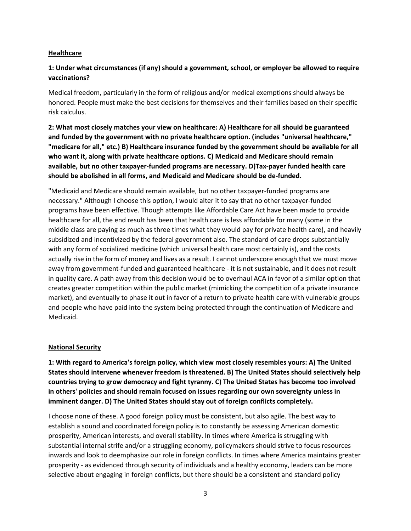#### **Healthcare**

# 1: Under what circumstances (if any) should a government, school, or employer be allowed to require vaccinations?

Medical freedom, particularly in the form of religious and/or medical exemptions should always be honored. People must make the best decisions for themselves and their families based on their specific risk calculus.

2: What most closely matches your view on healthcare: A) Healthcare for all should be guaranteed and funded by the government with no private healthcare option. (includes "universal healthcare," "medicare for all," etc.) B) Healthcare insurance funded by the government should be available for all who want it, along with private healthcare options. C) Medicaid and Medicare should remain available, but no other taxpayer-funded programs are necessary. D)Tax-payer funded health care should be abolished in all forms, and Medicaid and Medicare should be de-funded.

"Medicaid and Medicare should remain available, but no other taxpayer-funded programs are necessary." Although I choose this option, I would alter it to say that no other taxpayer-funded programs have been effective. Though attempts like Affordable Care Act have been made to provide healthcare for all, the end result has been that health care is less affordable for many (some in the middle class are paying as much as three times what they would pay for private health care), and heavily subsidized and incentivized by the federal government also. The standard of care drops substantially with any form of socialized medicine (which universal health care most certainly is), and the costs actually rise in the form of money and lives as a result. I cannot underscore enough that we must move away from government-funded and guaranteed healthcare - it is not sustainable, and it does not result in quality care. A path away from this decision would be to overhaul ACA in favor of a similar option that creates greater competition within the public market (mimicking the competition of a private insurance market), and eventually to phase it out in favor of a return to private health care with vulnerable groups and people who have paid into the system being protected through the continuation of Medicare and Medicaid.

## National Security

1: With regard to America's foreign policy, which view most closely resembles yours: A) The United States should intervene whenever freedom is threatened. B) The United States should selectively help countries trying to grow democracy and fight tyranny. C) The United States has become too involved in others' policies and should remain focused on issues regarding our own sovereignty unless in imminent danger. D) The United States should stay out of foreign conflicts completely.

I choose none of these. A good foreign policy must be consistent, but also agile. The best way to establish a sound and coordinated foreign policy is to constantly be assessing American domestic prosperity, American interests, and overall stability. In times where America is struggling with substantial internal strife and/or a struggling economy, policymakers should strive to focus resources inwards and look to deemphasize our role in foreign conflicts. In times where America maintains greater prosperity - as evidenced through security of individuals and a healthy economy, leaders can be more selective about engaging in foreign conflicts, but there should be a consistent and standard policy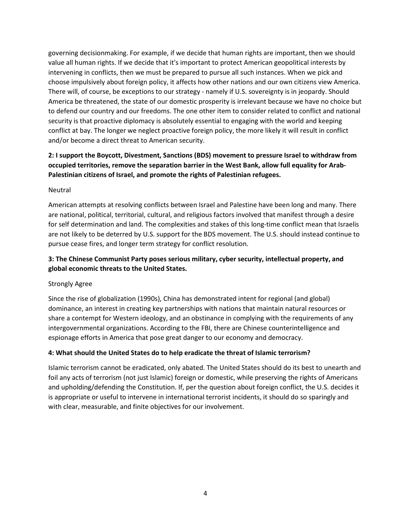governing decisionmaking. For example, if we decide that human rights are important, then we should value all human rights. If we decide that it's important to protect American geopolitical interests by intervening in conflicts, then we must be prepared to pursue all such instances. When we pick and choose impulsively about foreign policy, it affects how other nations and our own citizens view America. There will, of course, be exceptions to our strategy - namely if U.S. sovereignty is in jeopardy. Should America be threatened, the state of our domestic prosperity is irrelevant because we have no choice but to defend our country and our freedoms. The one other item to consider related to conflict and national security is that proactive diplomacy is absolutely essential to engaging with the world and keeping conflict at bay. The longer we neglect proactive foreign policy, the more likely it will result in conflict and/or become a direct threat to American security.

# 2: I support the Boycott, Divestment, Sanctions (BDS) movement to pressure Israel to withdraw from occupied territories, remove the separation barrier in the West Bank, allow full equality for Arab-Palestinian citizens of Israel, and promote the rights of Palestinian refugees.

# Neutral

American attempts at resolving conflicts between Israel and Palestine have been long and many. There are national, political, territorial, cultural, and religious factors involved that manifest through a desire for self determination and land. The complexities and stakes of this long-time conflict mean that Israelis are not likely to be deterred by U.S. support for the BDS movement. The U.S. should instead continue to pursue cease fires, and longer term strategy for conflict resolution.

# 3: The Chinese Communist Party poses serious military, cyber security, intellectual property, and global economic threats to the United States.

# Strongly Agree

Since the rise of globalization (1990s), China has demonstrated intent for regional (and global) dominance, an interest in creating key partnerships with nations that maintain natural resources or share a contempt for Western ideology, and an obstinance in complying with the requirements of any intergovernmental organizations. According to the FBI, there are Chinese counterintelligence and espionage efforts in America that pose great danger to our economy and democracy.

# 4: What should the United States do to help eradicate the threat of Islamic terrorism?

Islamic terrorism cannot be eradicated, only abated. The United States should do its best to unearth and foil any acts of terrorism (not just Islamic) foreign or domestic, while preserving the rights of Americans and upholding/defending the Constitution. If, per the question about foreign conflict, the U.S. decides it is appropriate or useful to intervene in international terrorist incidents, it should do so sparingly and with clear, measurable, and finite objectives for our involvement.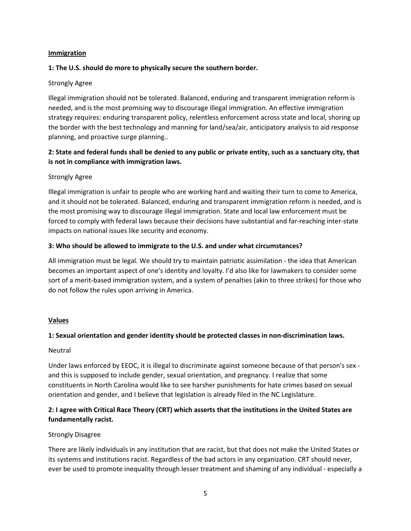#### **Immigration**

## 1: The U.S. should do more to physically secure the southern border.

## Strongly Agree

Illegal immigration should not be tolerated. Balanced, enduring and transparent immigration reform is needed, and is the most promising way to discourage illegal immigration. An effective immigration strategy requires: enduring transparent policy, relentless enforcement across state and local, shoring up the border with the best technology and manning for land/sea/air, anticipatory analysis to aid response planning, and proactive surge planning..

# 2: State and federal funds shall be denied to any public or private entity, such as a sanctuary city, that is not in compliance with immigration laws.

## Strongly Agree

Illegal immigration is unfair to people who are working hard and waiting their turn to come to America, and it should not be tolerated. Balanced, enduring and transparent immigration reform is needed, and is the most promising way to discourage illegal immigration. State and local law enforcement must be forced to comply with federal laws because their decisions have substantial and far-reaching inter-state impacts on national issues like security and economy.

## 3: Who should be allowed to immigrate to the U.S. and under what circumstances?

All immigration must be legal. We should try to maintain patriotic assimilation - the idea that American becomes an important aspect of one's identity and loyalty. I'd also like for lawmakers to consider some sort of a merit-based immigration system, and a system of penalties (akin to three strikes) for those who do not follow the rules upon arriving in America.

## Values

# 1: Sexual orientation and gender identity should be protected classes in non-discrimination laws.

## Neutral

Under laws enforced by EEOC, it is illegal to discriminate against someone because of that person's sex and this is supposed to include gender, sexual orientation, and pregnancy. I realize that some constituents in North Carolina would like to see harsher punishments for hate crimes based on sexual orientation and gender, and I believe that legislation is already filed in the NC Legislature.

# 2: I agree with Critical Race Theory (CRT) which asserts that the institutions in the United States are fundamentally racist.

## Strongly Disagree

There are likely individuals in any institution that are racist, but that does not make the United States or its systems and institutions racist. Regardless of the bad actors in any organization. CRT should never, ever be used to promote inequality through lesser treatment and shaming of any individual - especially a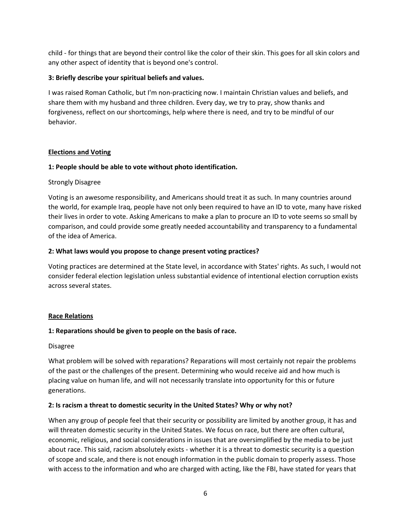child - for things that are beyond their control like the color of their skin. This goes for all skin colors and any other aspect of identity that is beyond one's control.

# 3: Briefly describe your spiritual beliefs and values.

I was raised Roman Catholic, but I'm non-practicing now. I maintain Christian values and beliefs, and share them with my husband and three children. Every day, we try to pray, show thanks and forgiveness, reflect on our shortcomings, help where there is need, and try to be mindful of our behavior.

# Elections and Voting

# 1: People should be able to vote without photo identification.

# Strongly Disagree

Voting is an awesome responsibility, and Americans should treat it as such. In many countries around the world, for example Iraq, people have not only been required to have an ID to vote, many have risked their lives in order to vote. Asking Americans to make a plan to procure an ID to vote seems so small by comparison, and could provide some greatly needed accountability and transparency to a fundamental of the idea of America.

# 2: What laws would you propose to change present voting practices?

Voting practices are determined at the State level, in accordance with States' rights. As such, I would not consider federal election legislation unless substantial evidence of intentional election corruption exists across several states.

## Race Relations

# 1: Reparations should be given to people on the basis of race.

## Disagree

What problem will be solved with reparations? Reparations will most certainly not repair the problems of the past or the challenges of the present. Determining who would receive aid and how much is placing value on human life, and will not necessarily translate into opportunity for this or future generations.

# 2: Is racism a threat to domestic security in the United States? Why or why not?

When any group of people feel that their security or possibility are limited by another group, it has and will threaten domestic security in the United States. We focus on race, but there are often cultural, economic, religious, and social considerations in issues that are oversimplified by the media to be just about race. This said, racism absolutely exists - whether it is a threat to domestic security is a question of scope and scale, and there is not enough information in the public domain to properly assess. Those with access to the information and who are charged with acting, like the FBI, have stated for years that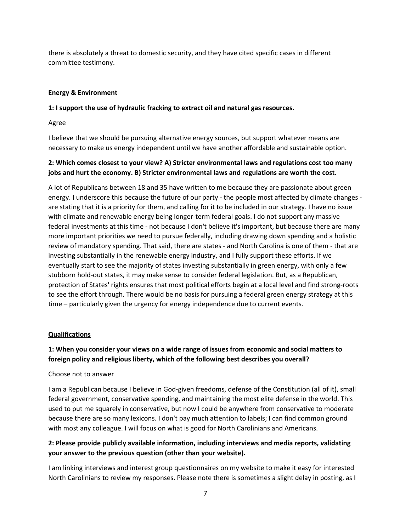there is absolutely a threat to domestic security, and they have cited specific cases in different committee testimony.

# Energy & Environment

# 1: I support the use of hydraulic fracking to extract oil and natural gas resources.

Agree

I believe that we should be pursuing alternative energy sources, but support whatever means are necessary to make us energy independent until we have another affordable and sustainable option.

# 2: Which comes closest to your view? A) Stricter environmental laws and regulations cost too many jobs and hurt the economy. B) Stricter environmental laws and regulations are worth the cost.

A lot of Republicans between 18 and 35 have written to me because they are passionate about green energy. I underscore this because the future of our party - the people most affected by climate changes are stating that it is a priority for them, and calling for it to be included in our strategy. I have no issue with climate and renewable energy being longer-term federal goals. I do not support any massive federal investments at this time - not because I don't believe it's important, but because there are many more important priorities we need to pursue federally, including drawing down spending and a holistic review of mandatory spending. That said, there are states - and North Carolina is one of them - that are investing substantially in the renewable energy industry, and I fully support these efforts. If we eventually start to see the majority of states investing substantially in green energy, with only a few stubborn hold-out states, it may make sense to consider federal legislation. But, as a Republican, protection of States' rights ensures that most political efforts begin at a local level and find strong-roots to see the effort through. There would be no basis for pursuing a federal green energy strategy at this time – particularly given the urgency for energy independence due to current events.

## Qualifications

# 1: When you consider your views on a wide range of issues from economic and social matters to foreign policy and religious liberty, which of the following best describes you overall?

## Choose not to answer

I am a Republican because I believe in God-given freedoms, defense of the Constitution (all of it), small federal government, conservative spending, and maintaining the most elite defense in the world. This used to put me squarely in conservative, but now I could be anywhere from conservative to moderate because there are so many lexicons. I don't pay much attention to labels; I can find common ground with most any colleague. I will focus on what is good for North Carolinians and Americans.

# 2: Please provide publicly available information, including interviews and media reports, validating your answer to the previous question (other than your website).

I am linking interviews and interest group questionnaires on my website to make it easy for interested North Carolinians to review my responses. Please note there is sometimes a slight delay in posting, as I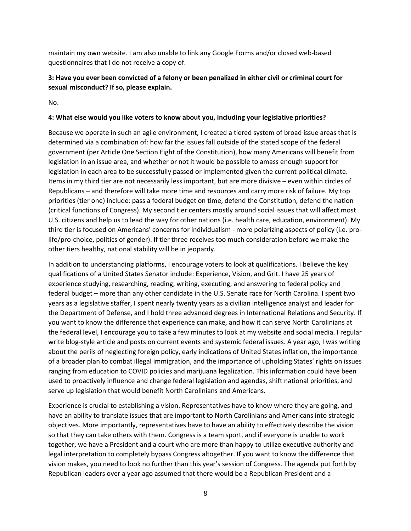maintain my own website. I am also unable to link any Google Forms and/or closed web-based questionnaires that I do not receive a copy of.

# 3: Have you ever been convicted of a felony or been penalized in either civil or criminal court for sexual misconduct? If so, please explain.

No.

# 4: What else would you like voters to know about you, including your legislative priorities?

Because we operate in such an agile environment, I created a tiered system of broad issue areas that is determined via a combination of: how far the issues fall outside of the stated scope of the federal government (per Article One Section Eight of the Constitution), how many Americans will benefit from legislation in an issue area, and whether or not it would be possible to amass enough support for legislation in each area to be successfully passed or implemented given the current political climate. Items in my third tier are not necessarily less important, but are more divisive – even within circles of Republicans – and therefore will take more time and resources and carry more risk of failure. My top priorities (tier one) include: pass a federal budget on time, defend the Constitution, defend the nation (critical functions of Congress). My second tier centers mostly around social issues that will affect most U.S. citizens and help us to lead the way for other nations (i.e. health care, education, environment). My third tier is focused on Americans' concerns for individualism - more polarizing aspects of policy (i.e. prolife/pro-choice, politics of gender). If tier three receives too much consideration before we make the other tiers healthy, national stability will be in jeopardy.

In addition to understanding platforms, I encourage voters to look at qualifications. I believe the key qualifications of a United States Senator include: Experience, Vision, and Grit. I have 25 years of experience studying, researching, reading, writing, executing, and answering to federal policy and federal budget – more than any other candidate in the U.S. Senate race for North Carolina. I spent two years as a legislative staffer, I spent nearly twenty years as a civilian intelligence analyst and leader for the Department of Defense, and I hold three advanced degrees in International Relations and Security. If you want to know the difference that experience can make, and how it can serve North Carolinians at the federal level, I encourage you to take a few minutes to look at my website and social media. I regular write blog-style article and posts on current events and systemic federal issues. A year ago, I was writing about the perils of neglecting foreign policy, early indications of United States inflation, the importance of a broader plan to combat illegal immigration, and the importance of upholding States' rights on issues ranging from education to COVID policies and marijuana legalization. This information could have been used to proactively influence and change federal legislation and agendas, shift national priorities, and serve up legislation that would benefit North Carolinians and Americans.

Experience is crucial to establishing a vision. Representatives have to know where they are going, and have an ability to translate issues that are important to North Carolinians and Americans into strategic objectives. More importantly, representatives have to have an ability to effectively describe the vision so that they can take others with them. Congress is a team sport, and if everyone is unable to work together, we have a President and a court who are more than happy to utilize executive authority and legal interpretation to completely bypass Congress altogether. If you want to know the difference that vision makes, you need to look no further than this year's session of Congress. The agenda put forth by Republican leaders over a year ago assumed that there would be a Republican President and a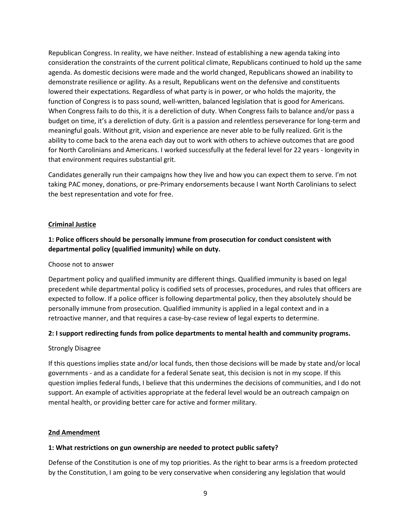Republican Congress. In reality, we have neither. Instead of establishing a new agenda taking into consideration the constraints of the current political climate, Republicans continued to hold up the same agenda. As domestic decisions were made and the world changed, Republicans showed an inability to demonstrate resilience or agility. As a result, Republicans went on the defensive and constituents lowered their expectations. Regardless of what party is in power, or who holds the majority, the function of Congress is to pass sound, well-written, balanced legislation that is good for Americans. When Congress fails to do this, it is a dereliction of duty. When Congress fails to balance and/or pass a budget on time, it's a dereliction of duty. Grit is a passion and relentless perseverance for long-term and meaningful goals. Without grit, vision and experience are never able to be fully realized. Grit is the ability to come back to the arena each day out to work with others to achieve outcomes that are good for North Carolinians and Americans. I worked successfully at the federal level for 22 years - longevity in that environment requires substantial grit.

Candidates generally run their campaigns how they live and how you can expect them to serve. I'm not taking PAC money, donations, or pre-Primary endorsements because I want North Carolinians to select the best representation and vote for free.

## Criminal Justice

# 1: Police officers should be personally immune from prosecution for conduct consistent with departmental policy (qualified immunity) while on duty.

#### Choose not to answer

Department policy and qualified immunity are different things. Qualified immunity is based on legal precedent while departmental policy is codified sets of processes, procedures, and rules that officers are expected to follow. If a police officer is following departmental policy, then they absolutely should be personally immune from prosecution. Qualified immunity is applied in a legal context and in a retroactive manner, and that requires a case-by-case review of legal experts to determine.

## 2: I support redirecting funds from police departments to mental health and community programs.

#### Strongly Disagree

If this questions implies state and/or local funds, then those decisions will be made by state and/or local governments - and as a candidate for a federal Senate seat, this decision is not in my scope. If this question implies federal funds, I believe that this undermines the decisions of communities, and I do not support. An example of activities appropriate at the federal level would be an outreach campaign on mental health, or providing better care for active and former military.

#### 2nd Amendment

#### 1: What restrictions on gun ownership are needed to protect public safety?

Defense of the Constitution is one of my top priorities. As the right to bear arms is a freedom protected by the Constitution, I am going to be very conservative when considering any legislation that would